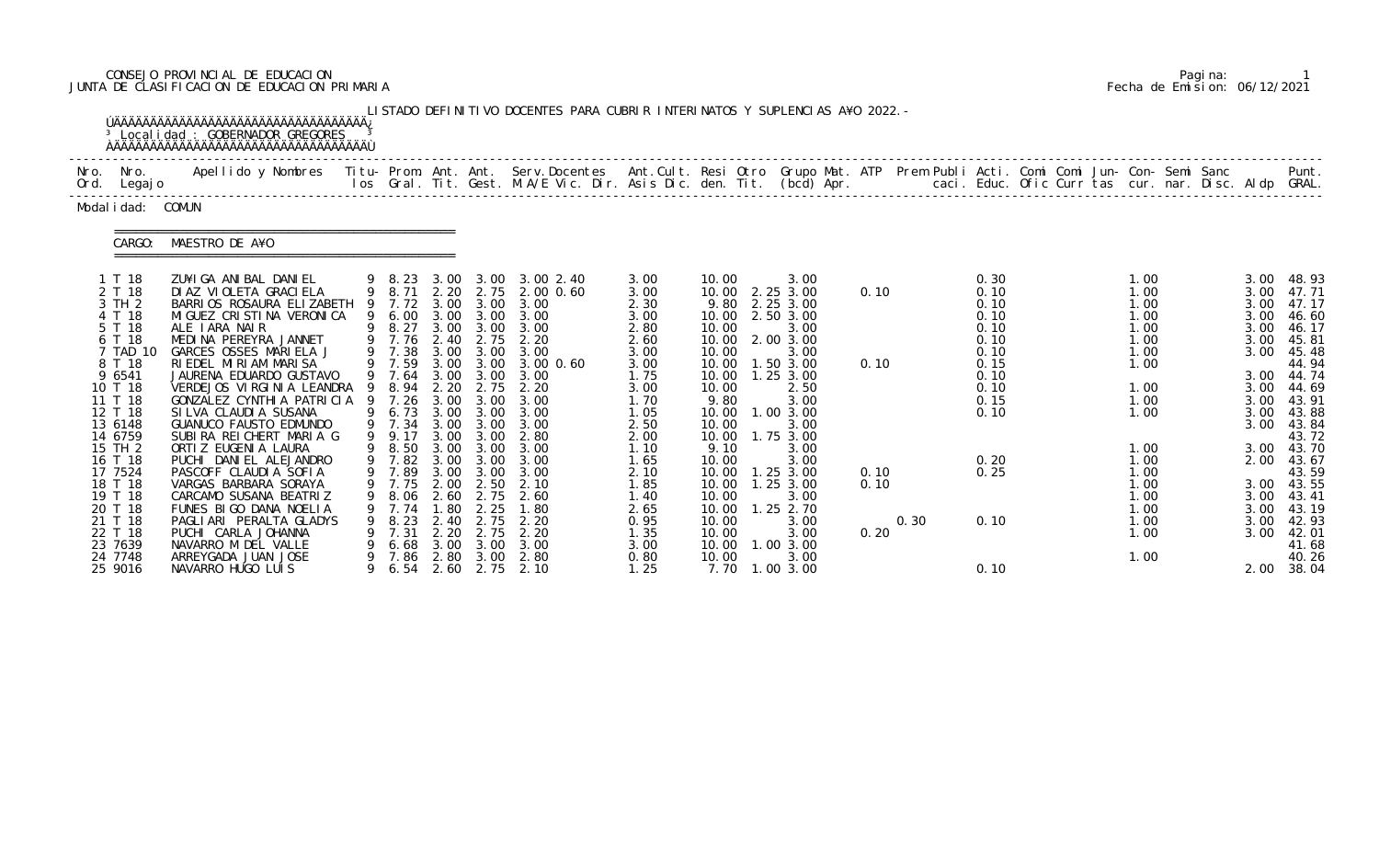# CONSEJO PROVINCIAL DE EDUCACION Pagina: 1 JUNTA DE CLASIFICACION DE EDUCACION PRIMARIA Fecha de Emision: 06/12/2021

|      |                                                                                                                       | <sup>3</sup> Local i dad : GOBERNADOR GREGORES                                                                                                                                                                                                                                                        |        |                                                                                                                 |                                              |                                                                                | LISTADO DEFINITIVO DOCENTES PARA CUBRIR INTERINATOS Y SUPLENCIAS A¥O 2022. -                                                        |                                                                                      |                                                                                      |                                                                                                                                 |              |      |                                                                              |  |                                                                      |  |                                                              |                                                                                                                |
|------|-----------------------------------------------------------------------------------------------------------------------|-------------------------------------------------------------------------------------------------------------------------------------------------------------------------------------------------------------------------------------------------------------------------------------------------------|--------|-----------------------------------------------------------------------------------------------------------------|----------------------------------------------|--------------------------------------------------------------------------------|-------------------------------------------------------------------------------------------------------------------------------------|--------------------------------------------------------------------------------------|--------------------------------------------------------------------------------------|---------------------------------------------------------------------------------------------------------------------------------|--------------|------|------------------------------------------------------------------------------|--|----------------------------------------------------------------------|--|--------------------------------------------------------------|----------------------------------------------------------------------------------------------------------------|
| Nro. | Nro.<br>Ord. Legajo                                                                                                   | Apellido y Nombres - Titu- Prom. Ant. Ant. Serv.Docentes - Ant.Cult. Resi Otro Grupo Mat. ATP Prem Publi Acti. Comi Comi Jun- Con- Semi Sanc - - - - Punt.<br>Ios Gral. Tit. Gest. M.A/E Vic. Dir. Asis Dic. den. Tit. (bcd) Apr.                                                                     |        |                                                                                                                 |                                              |                                                                                |                                                                                                                                     |                                                                                      |                                                                                      |                                                                                                                                 |              |      |                                                                              |  |                                                                      |  |                                                              |                                                                                                                |
|      | Modal i dad: COMUN                                                                                                    |                                                                                                                                                                                                                                                                                                       |        |                                                                                                                 |                                              |                                                                                |                                                                                                                                     |                                                                                      |                                                                                      |                                                                                                                                 |              |      |                                                                              |  |                                                                      |  |                                                              |                                                                                                                |
|      | CARGO:                                                                                                                | MAESTRO DE A¥O                                                                                                                                                                                                                                                                                        |        |                                                                                                                 |                                              |                                                                                |                                                                                                                                     |                                                                                      |                                                                                      |                                                                                                                                 |              |      |                                                                              |  |                                                                      |  |                                                              |                                                                                                                |
|      | 1 T 18<br>2 T 18<br>3 TH 2<br>4 T 18<br>5 T 18<br>6 T 18<br>7 TAD 10<br>8 T 18<br>9 6541<br>10 T 18                   | ZU¥I GA ANI BAL DANI EL<br>DI AZ VI OLETA GRACI ELA<br>BARRIOS ROSAURA ELIZABETH<br>MI GUEZ CRI STI NA VERONI CA<br>ALE IARA NAIR<br>MEDINA PEREYRA JANNET<br>GARCES OSSES MARIELA J<br>RIEDEL MIRIAM MARISA<br>JAURENA EDUARDO GUSTAVO<br>VERDEJOS VIRGINIA LEANDRA 9 8.94                           |        | $9$ $8.23$<br>$9$ $8.71$<br>9 7.72<br>9 6.00<br>9 8.27<br>9 7.76 2.40<br>9 7.38<br>9 7.59<br>9 7.64             | 2.20<br>3.00<br>2.20                         | 2.75<br>2.75<br>3.00 3.00<br>3.00<br>3.00 3.00<br>2.75                         | 3.00 3.00 3.00 2.40<br>2.00 0.60<br>3.00 3.00 3.00<br>3.00 3.00 3.00<br>3.00 3.00 3.00<br>2.20<br>3.00<br>3.00 0.60<br>3.00<br>2.20 | 3.00<br>3.00<br>2.30<br>3.00<br>2.80<br>2.60<br>3.00<br>3.00<br>1.75<br>3.00         | 10.00<br>10.00<br>10.00<br>10.00<br>10.00<br>10.00<br>10.00                          | 3.00<br>10.00 2.25 3.00<br>9.80 2.25 3.00<br>2.50 3.00<br>3.00<br>10.00 2.00 3.00<br>3.00<br>1.50 3.00<br>$1.25$ $3.00$<br>2.50 | 0.10<br>0.10 |      | 0.30<br>0.10<br>0.10<br>0.10<br>0.10<br>0.10<br>0.10<br>0.15<br>0.10<br>0.10 |  | 1.00<br>1.00<br>1.00<br>1.00<br>1.00<br>1.00<br>1.00<br>1.00<br>1.00 |  | 3.00<br>3.00<br>3.00<br>3.00<br>3.00<br>3.00<br>3.00<br>3.00 | 48.93<br>47.71<br>47.17<br>46.60<br>46.17<br>45.81<br>45.48<br>44.94<br>3.00 44.74<br>44.69                    |
|      | 11 T 18<br>12 T 18<br>13 6148<br>14 6759<br>15 TH 2<br>16 T 18<br>17 7524<br>18 T 18<br>19 T 18<br>20 T 18<br>21 T 18 | GONZALEZ CYNTHIA PATRICIA 9<br>SI LVA CLAUDI A SUSANA<br><b>GUANUCO FAUSTO EDMUNDO</b><br>SUBIRA REICHERT MARIA G<br>ORTI Z EUGENI A LAURA<br>PUCHI DANIEL ALEJANDRO<br>PASCOFF CLAUDIA SOFIA<br>VARGAS BARBARA SORAYA<br>CARCAMO SUSANA BEATRIZ<br>FUNES BIGO DANA NOELIA<br>PAGLIARI PERALTA GLADYS | 9<br>9 | 7.26<br>9 6.73 3.00<br>9 7.34<br>9.17<br>9 8.50<br>9 7.82<br>9 7.89<br>9 7.75 2.00 2.50<br>8.06<br>7.74<br>8.23 | 3.00<br>3.00<br>3.00<br>2.60<br>1.80<br>2.40 | 3.00<br>3.00<br>3.00 3.00<br>3.00<br>3.00 3.00<br>3.00<br>2.75<br>2.25<br>2.75 | 3.00<br>3.00<br>3.00<br>2.80<br>3.00 3.00 3.00<br>3.00<br>3.00<br>2.10<br>2.60<br>1.80<br>2.20                                      | 1.70<br>1.05<br>2.50<br>2.00<br>1.10<br>1.65<br>2.10<br>1.85<br>1.40<br>2.65<br>0.95 | 9.80<br>10.00<br>10.00<br>10.00<br>9.10<br>10.00<br>10.00<br>10.00<br>10.00<br>10.00 | 3.00<br>1.00 3.00<br>3.00<br>1.75 3.00<br>3.00<br>3.00<br>1.25 3.00<br>10.00  1.25  3.00<br>3.00<br>1.25 2.70<br>3.00           | 0.10<br>0.10 | 0.30 | 0.15<br>0.10<br>0.20<br>0.25<br>0.10                                         |  | 1.00<br>1.00<br>1.00<br>1.00<br>1.00<br>1.00<br>1.00<br>1.00<br>1.00 |  | 3.00<br>3.00<br>2.00<br>3.00<br>3.00<br>3.00                 | 43.91<br>3.00 43.88<br>43.84<br>43.72<br>3.00 43.70<br>43.67<br>43.59<br>3.00 43.55<br>43.41<br>43.19<br>42.93 |
|      | 22 T 18<br>23 7639<br>24 7748<br>25 9016                                                                              | PUCHI CARLA JOHANNA<br>NAVARRO M DEL VALLE<br>ARREYGADA JUAN JOSE<br>NAVARRO HUGO LUIS                                                                                                                                                                                                                | 9      | 7.31<br>6.68<br>7.86                                                                                            | 2.20<br>3.00<br>2.80                         | 2.75<br>3.00<br>3.00                                                           | 2.20<br>3.00<br>2.80<br>6.54 2.60 2.75 2.10                                                                                         | 1.35<br>3.00<br>0.80<br>1.25                                                         | 10.00<br>10.00<br>10.00<br>7.70                                                      | 3.00<br>1.003.00<br>3.00<br>1.00 3.00                                                                                           | 0.20         |      | 0.10                                                                         |  | 1.00<br>1.00                                                         |  | 3.00                                                         | 42.01<br>41.68<br>40.26<br>2.00 38.04                                                                          |

|  | Pagi na: |                              |
|--|----------|------------------------------|
|  |          | Fecha de Emision: 06/12/2021 |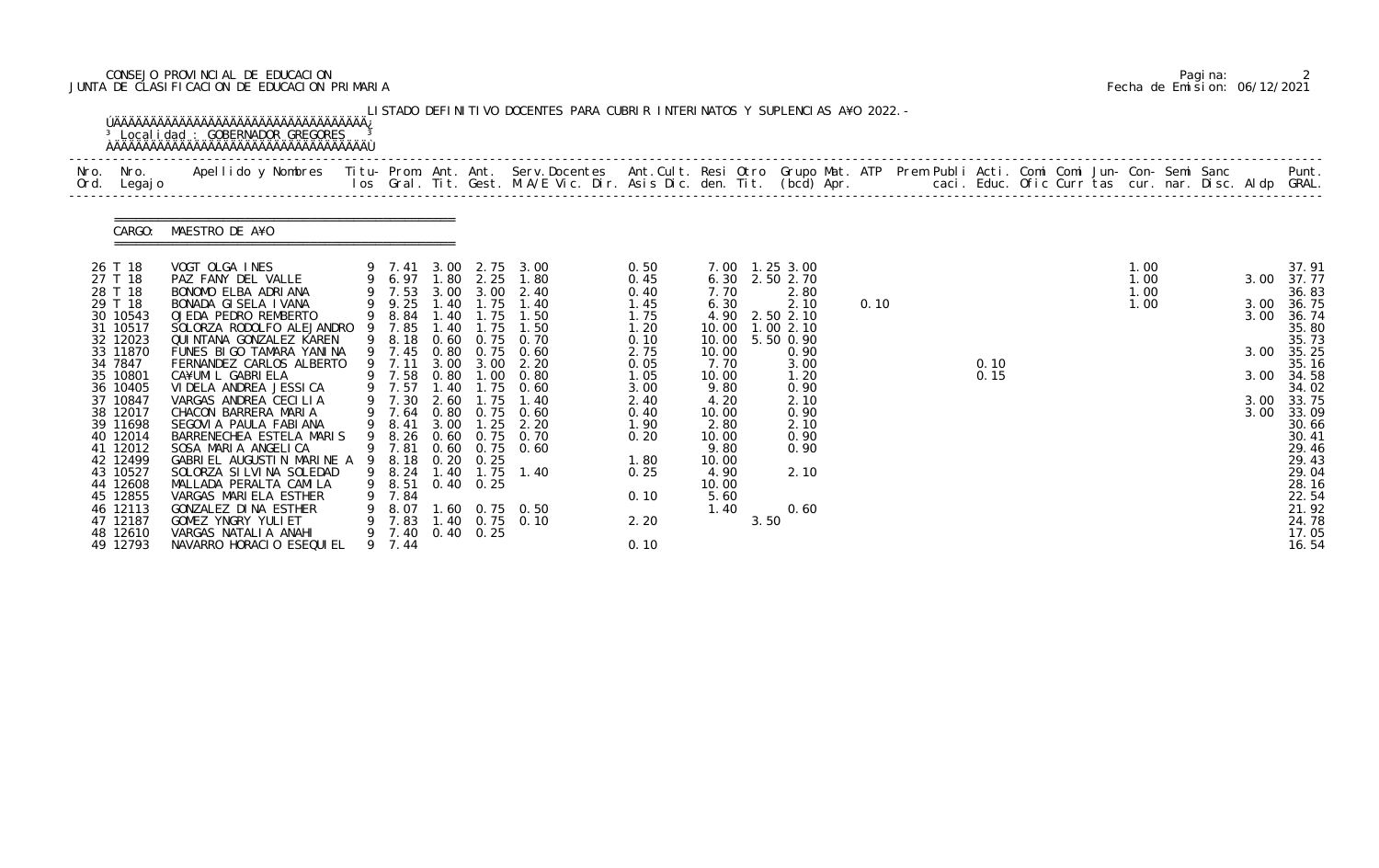# CONSEJO PROVINCIAL DE EDUCACION Pagina: 2 JUNTA DE CLASIFICACION DE EDUCACION PRIMARIA Fecha de Emision: 06/12/2021

| Ord. | Nro. Nro.<br>Legaj o                                                                                                                                                                                                                                                                    | Apellido y Nombres - Titu- Prom. Ant. Ant. Serv.Docentes - Ant.Cult. Resi Otro Grupo Mat. ATP - Prem Publi Acti. Comi Comi Jun- Con- Semi Sanc - - - Punt.<br>Ios Gral. Tit. Gest. M.A/E Vic. Dir. Asis Dic. den. Tit. (bcd) Apr.                                                                                                                                                                                                                                                                                                                                                                                                 |                                                                                                                                                                                                                               |                                                                                                                      |                                                                                                                       |                                                                                                                                                                                                                                      |                                                                                                                                                              |                                                                                                                                                                      |      |                                                                                                                                                                            |      |  |              |  |                              |  |                                              |                                                                                                                                                                                                                           |
|------|-----------------------------------------------------------------------------------------------------------------------------------------------------------------------------------------------------------------------------------------------------------------------------------------|-----------------------------------------------------------------------------------------------------------------------------------------------------------------------------------------------------------------------------------------------------------------------------------------------------------------------------------------------------------------------------------------------------------------------------------------------------------------------------------------------------------------------------------------------------------------------------------------------------------------------------------|-------------------------------------------------------------------------------------------------------------------------------------------------------------------------------------------------------------------------------|----------------------------------------------------------------------------------------------------------------------|-----------------------------------------------------------------------------------------------------------------------|--------------------------------------------------------------------------------------------------------------------------------------------------------------------------------------------------------------------------------------|--------------------------------------------------------------------------------------------------------------------------------------------------------------|----------------------------------------------------------------------------------------------------------------------------------------------------------------------|------|----------------------------------------------------------------------------------------------------------------------------------------------------------------------------|------|--|--------------|--|------------------------------|--|----------------------------------------------|---------------------------------------------------------------------------------------------------------------------------------------------------------------------------------------------------------------------------|
|      | CARGO:                                                                                                                                                                                                                                                                                  | MAESTRO DE A¥O                                                                                                                                                                                                                                                                                                                                                                                                                                                                                                                                                                                                                    |                                                                                                                                                                                                                               |                                                                                                                      |                                                                                                                       |                                                                                                                                                                                                                                      |                                                                                                                                                              |                                                                                                                                                                      |      |                                                                                                                                                                            |      |  |              |  |                              |  |                                              |                                                                                                                                                                                                                           |
|      | 26 T 18<br>27 T 18<br>28 T 18<br>29 T 18<br>30 10543<br>31 10517<br>32 12023<br>33 11870<br>34 7847<br>35 10801<br>36 10405<br>37 10847<br>38 12017<br>39 11698<br>40 12014<br>41 12012<br>42 12499<br>43 10527<br>44 12608<br>45 12855<br>46 12113<br>47 12187<br>48 12610<br>49 12793 | VOGT OLGA INES<br>PAZ FANY DEL VALLE<br>BONOMO ELBA ADRIANA<br>BONADA GISELA IVANA<br>OJEDA PEDRO REMBERTO<br>SOLORZA RODOLFO ALEJANDRO<br>QUI NTANA GONZALEZ KAREN<br>FUNES BIGO TAMARA YANINA<br>FERNANDEZ CARLOS ALBERTO<br>CA¥UMI L GABRI ELA<br>VI DELA ANDREA JESSI CA<br>VARGAS ANDREA CECILIA<br>CHACON BARRERA MARIA<br>SEGOVI A PAULA FABI ANA<br>BARRENECHEA ESTELA MARIS<br>SOSA MARIA ANGELICA<br>GABRIEL AUGUSTIN MARINE A 9 8.18<br>SOLORZA SI LVI NA SOLEDAD<br>MALLADA PERALTA CAMILA<br>VARGAS MARIELA ESTHER<br>GONZALEZ DINA ESTHER<br>GOMEZ YNGRY YULIET<br>VARGAS NATALIA ANAHI<br>NAVARRO HORACIO ESEQUIEL | 9 7.41 3.00<br>9 6.97 1.80<br>9 7.53 3.00<br>9 9.25<br>9 8.84<br>9 7.85<br>9 8.18<br>9 7.45<br>9 7.11<br>9 7.58<br>9 7.57<br>9 7.30<br>9 7.64<br>9 8.41<br>9 8.26<br>9 7.81<br>9 8.24<br>9 8.51<br>9 7.84<br>9 8.07<br>9 7.44 | 1.40<br>1.40<br>1.40<br>0.60<br>0.80<br>3.00<br>0.80<br>1.40<br>2.60<br>0.80<br>3.00<br>0.60<br>0.60<br>0.20<br>1.40 | 2.25<br>3.00<br>1.75<br>1.75<br>1.75<br>0.75<br>3.00<br>1.75<br>1.25<br>0.25<br>$0.40 \quad 0.25$<br>9 7.40 0.40 0.25 | 2.75 3.00<br>1.80<br>2.40<br>1.40<br>1.50<br>1.50<br>0.75 0.70<br>0.60<br>2.20<br>$1.00 \t 0.80$<br>1.75 0.60<br>1.40<br>$0.75$ 0.60<br>2.20<br>$0.75$ 0.70<br>$0.75$ 0.60<br>$1.75$ 1.40<br>1.60 0.75 0.50<br>9 7.83 1.40 0.75 0.10 | 0.50<br>0.45<br>0.40<br>1.45<br>1.75<br>1.20<br>0.10<br>2.75<br>0.05<br>1.05<br>3.00<br>2.40<br>0.40<br>1.90<br>0.20<br>1.80<br>0.25<br>0.10<br>2.20<br>0.10 | 6.30<br>7.70<br>6.30<br>4.90<br>10.00<br>10.00<br>10.00<br>7.70<br>10.00<br>9.80<br>4.20<br>10.00<br>2.80<br>10.00<br>9.80<br>10.00<br>4.90<br>10.00<br>5.60<br>1.40 | 3.50 | 7.00 1.25 3.00<br>2.50 2.70<br>2.80<br>2.10<br>2.50 2.10<br>1.00 2.10<br>5.50 0.90<br>0.90<br>3.00<br>1.20<br>0.90<br>2.10<br>0.90<br>2.10<br>0.90<br>0.90<br>2.10<br>0.60 | 0.10 |  | 0.10<br>0.15 |  | 1.00<br>1.00<br>1.00<br>1.00 |  | 3.00<br>3.00<br>3.00<br>3.00<br>3.00<br>3.00 | 37.91<br>37.77<br>36.83<br>36.75<br>36.74<br>35.80<br>35.73<br>35.25<br>35.16<br>3.00 34.58<br>34.02<br>33.75<br>33.09<br>30.66<br>30.41<br>29.46<br>29.43<br>29.04<br>28.16<br>22.54<br>21.92<br>24.78<br>17.05<br>16.54 |

|  | Pagi na: |                              |
|--|----------|------------------------------|
|  |          | Fecha de Emision: 06/12/2021 |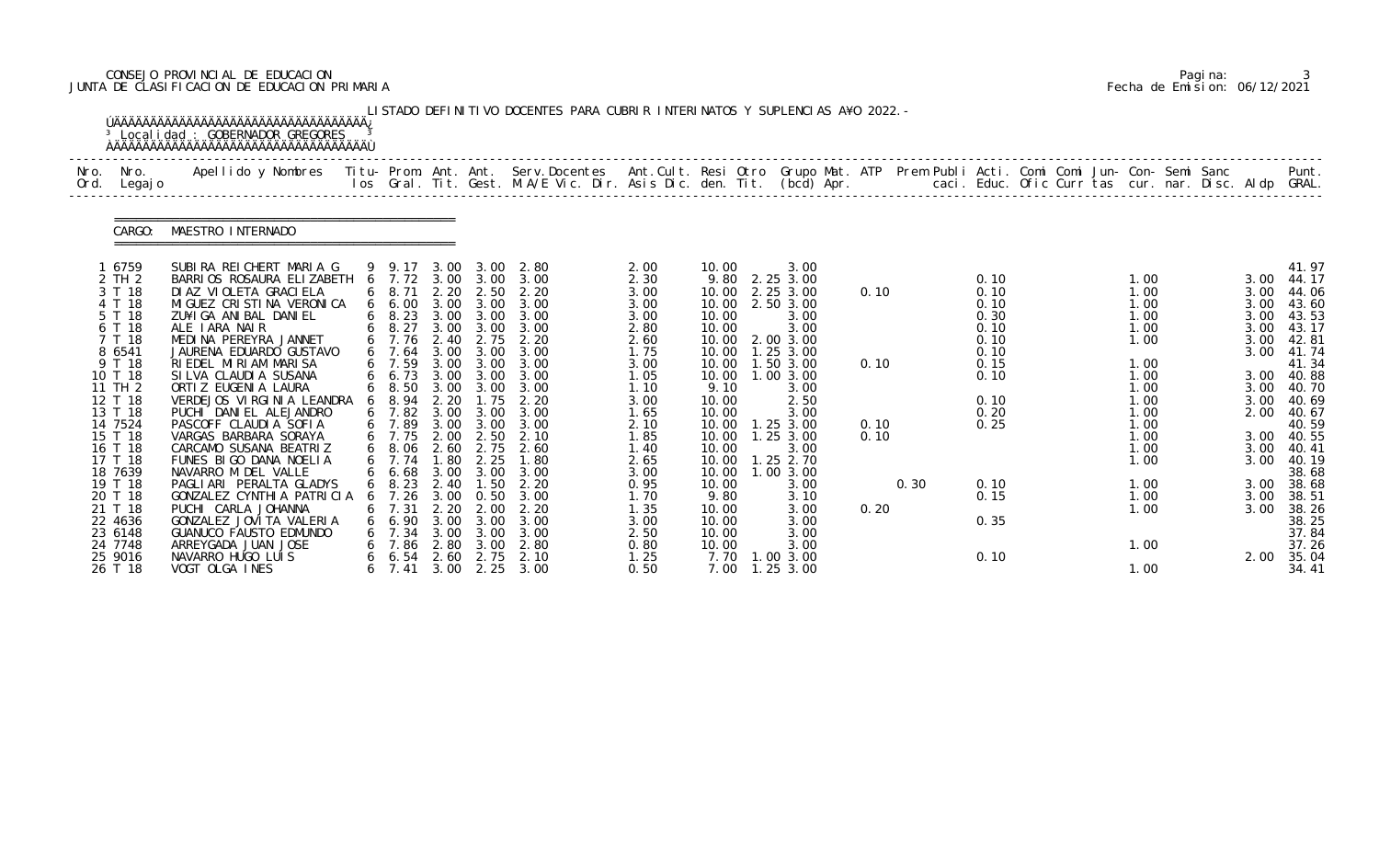# CONSEJO PROVINCIAL DE EDUCACION Pagina: 3 JUNTA DE CLASIFICACION DE EDUCACION PRIMARIA Fecha de Emision: 06/12/2021

|              |                                                                                        | <sup>3</sup> Local i dad : GOBERNADOR GREGORES                                                                                                                                                                                                            |        |                                                                                             |                                                      |                                                                   | LISTADO DEFINITIVO DOCENTES PARA CUBRIR INTERINATOS Y SUPLENCIAS A¥O 2022. - |                                                                      |                                                                      |                                                                                                         |              |      |                                                              |  |                                                              |  |                                                      |                                                                               |
|--------------|----------------------------------------------------------------------------------------|-----------------------------------------------------------------------------------------------------------------------------------------------------------------------------------------------------------------------------------------------------------|--------|---------------------------------------------------------------------------------------------|------------------------------------------------------|-------------------------------------------------------------------|------------------------------------------------------------------------------|----------------------------------------------------------------------|----------------------------------------------------------------------|---------------------------------------------------------------------------------------------------------|--------------|------|--------------------------------------------------------------|--|--------------------------------------------------------------|--|------------------------------------------------------|-------------------------------------------------------------------------------|
| Nro.<br>Ord. | Nro.<br>Legaj o                                                                        | Apellido y Nombres - Titu- Prom. Ant. Ant. Serv.Docentes - Ant.Cult. Resi Otro Grupo Mat. ATP Prem Publi Acti. Comi Comi Jun- Con- Semi Sanc - - - Punt.<br>Ios Gral. Tit. Gest. M.A/E Vic. Dir. Asis Dic. den. Tit. (bcd) Apr. -                         |        |                                                                                             |                                                      |                                                                   |                                                                              |                                                                      |                                                                      |                                                                                                         |              |      |                                                              |  |                                                              |  |                                                      |                                                                               |
|              | CARGO:                                                                                 | MAESTRO INTERNADO                                                                                                                                                                                                                                         |        |                                                                                             |                                                      |                                                                   |                                                                              |                                                                      |                                                                      |                                                                                                         |              |      |                                                              |  |                                                              |  |                                                      |                                                                               |
|              | 1 6759<br>2 TH 2<br>3 T 18<br>4 T 18<br>5 T 18<br>6 T 18<br>7 T 18<br>8 6541<br>9 T 18 | SUBIRA REICHERT MARIA G<br>BARRIOS ROSAURA ELIZABETH 6 7.72 3.00 3.00<br>DI AZ VI OLETA GRACI ELA<br>MI GUEZ CRI STI NA VERONI CA<br>ZU¥I GA ANI BAL DANI EL<br>ALE IARA NAIR<br>MEDINA PEREYRA JANNET<br>JAURENA EDUARDO GUSTAVO<br>RIEDEL MIRIAM MARISA |        | 9 9.17<br>6 8.71<br>$6\quad 6.00$<br>$6\quad 8.23$<br>6 8.27<br>6 7.76<br>6, 7.64<br>6 7.59 | 3.00<br>2.20<br>3.00<br>3.00<br>2.40<br>3.00<br>3.00 | 2.50<br>3.00<br>3.00 3.00<br>3.00<br>2.75<br>3.00<br>3.00         | 3.00 2.80<br>3.00<br>2.20<br>3.00<br>3.00<br>3.00<br>2.20<br>3.00<br>3.00    | 2.00<br>2.30<br>3.00<br>3.00<br>3.00<br>2.80<br>2.60<br>1.75<br>3.00 | 10.00<br>10.00<br>10.00<br>10.00<br>10.00<br>10.00<br>10.00<br>10.00 | 3.00<br>9.80 2.25 3.00<br>2.25 3.00<br>2.50 3.00<br>3.00<br>3.00<br>2.00 3.00<br>1.25 3.00<br>1.50 3.00 | 0.10<br>0.10 |      | 0.10<br>0.10<br>0.10<br>0.30<br>0.10<br>0.10<br>0.10<br>0.15 |  | 1.00<br>1.00<br>1.00<br>1.00<br>1.00<br>1.00<br>1.00         |  | 3.00<br>3.00<br>3.00<br>3.00<br>3.00<br>3.00<br>3.00 | 41.97<br>44.17<br>44.06<br>43.60<br>43.53<br>43.17<br>42.81<br>41.74<br>41.34 |
|              | 10 T 18<br>11 TH 2<br>12 T 18<br>13 T 18<br>14 7524<br>15 T 18<br>16 T 18<br>17 T 18   | SI LVA CLAUDI A SUSANA<br>ORTI Z EUGENI A LAURA<br>VERDEJOS VIRGINIA LEANDRA<br>PUCHI DANIEL ALEJANDRO<br>PASCOFF CLAUDIA SOFIA<br>VARGAS BARBARA SORAYA<br>CARCAMO SUSANA BEATRIZ<br>FUNES BIGO DANA NOELIA                                              |        | 6 6.73<br>$6\quad 8.50$<br>8.94<br>$6$ 7.82<br>6 7.89<br>6 7.75<br>6 8.06<br>6, 7.74        | 3.00<br>2.20<br>3.00<br>3.00<br>2.00<br>2.60<br>1.80 | 3.00<br>3.00 3.00<br>1.75<br>3.00<br>3.00<br>2.50<br>2.75<br>2.25 | 3.00<br>3.00<br>2.20<br>3.00<br>3.00<br>2.10<br>2.60<br>1.80                 | 1.05<br>1.10<br>3.00<br>1.65<br>2.10<br>1.85<br>1.40<br>2.65         | 10.00<br>9.10<br>10.00<br>10.00<br>10.00<br>10.00<br>10.00<br>10.00  | 1.00 3.00<br>3.00<br>2.50<br>3.00<br>$1.25$ $3.00$<br>1.253.00<br>3.00<br>$1.25$ $2.70$                 | 0.10<br>0.10 |      | 0.10<br>0.10<br>0.20<br>0.25                                 |  | 1.00<br>1.00<br>1.00<br>1.00<br>1.00<br>1.00<br>1.00<br>1.00 |  | 3.00<br>3.00<br>2.00<br>3.00<br>3.00<br>3.00         | 3.00 40.88<br>40.70<br>40.69<br>40.67<br>40.59<br>40.55<br>40.41<br>40.19     |
|              | 18 7639<br>19 T 18<br>20 T 18<br>21 T 18<br>22 4636<br>23 6148                         | NAVARRO M DEL VALLE<br>PAGLIARI PERALTA GLADYS<br>GONZALEZ CYNTHIA PATRICIA<br>PUCHI CARLA JOHANNA<br>GONZALEZ JOVI TA VALERIA<br>GUANUCO FAUSTO EDMUNDO                                                                                                  | 6<br>6 | 66.68<br>$6\quad 8.23\quad 2.40$<br>7.26<br>7.31<br>$6\quad 6.90$<br>$6 \quad 7.34$         | 3.00<br>3.00<br>2.20<br>3.00<br>3.00                 | 3.00<br>1.50<br>0.50<br>2.00<br>3.00<br>3.00                      | 3.00<br>2.20<br>3.00<br>2.20<br>3.00<br>3.00                                 | 3.00<br>0.95<br>1.70<br>1.35<br>3.00<br>2.50                         | 10.00<br>10.00<br>9.80<br>10.00<br>10.00<br>10.00                    | 1.00 3.00<br>3.00<br>3.10<br>3.00<br>3.00<br>3.00                                                       | 0.20         | 0.30 | 0.10<br>0.15<br>0.35                                         |  | 1.00<br>1.00<br>1.00                                         |  | 3.00<br>3.00                                         | 38.68<br>3.00 38.68<br>38.51<br>38.26<br>38.25<br>37.84                       |
|              | 24 7748<br>25 9016<br>26 T 18                                                          | ARREYGADA JUAN JOSE<br>NAVARRO HUGO LUIS<br>VOGT OLGA INES                                                                                                                                                                                                |        | 7.86<br>$6\quad 6.54$                                                                       | 2.80<br>2.60                                         | 3.00<br>2.75                                                      | 2.80<br>2.10<br>6 7.41 3.00 2.25 3.00                                        | 0.80<br>1.25<br>0.50                                                 | 10.00<br>7.70<br>7.00                                                | 3.00<br>1.00 3.00<br>$1.25$ $3.00$                                                                      |              |      | 0.10                                                         |  | 1.00<br>1.00                                                 |  | 2.00                                                 | 37.26<br>35.04<br>34.41                                                       |

|  | Pagi na: |                              |
|--|----------|------------------------------|
|  |          | Fecha de Emision: 06/12/2021 |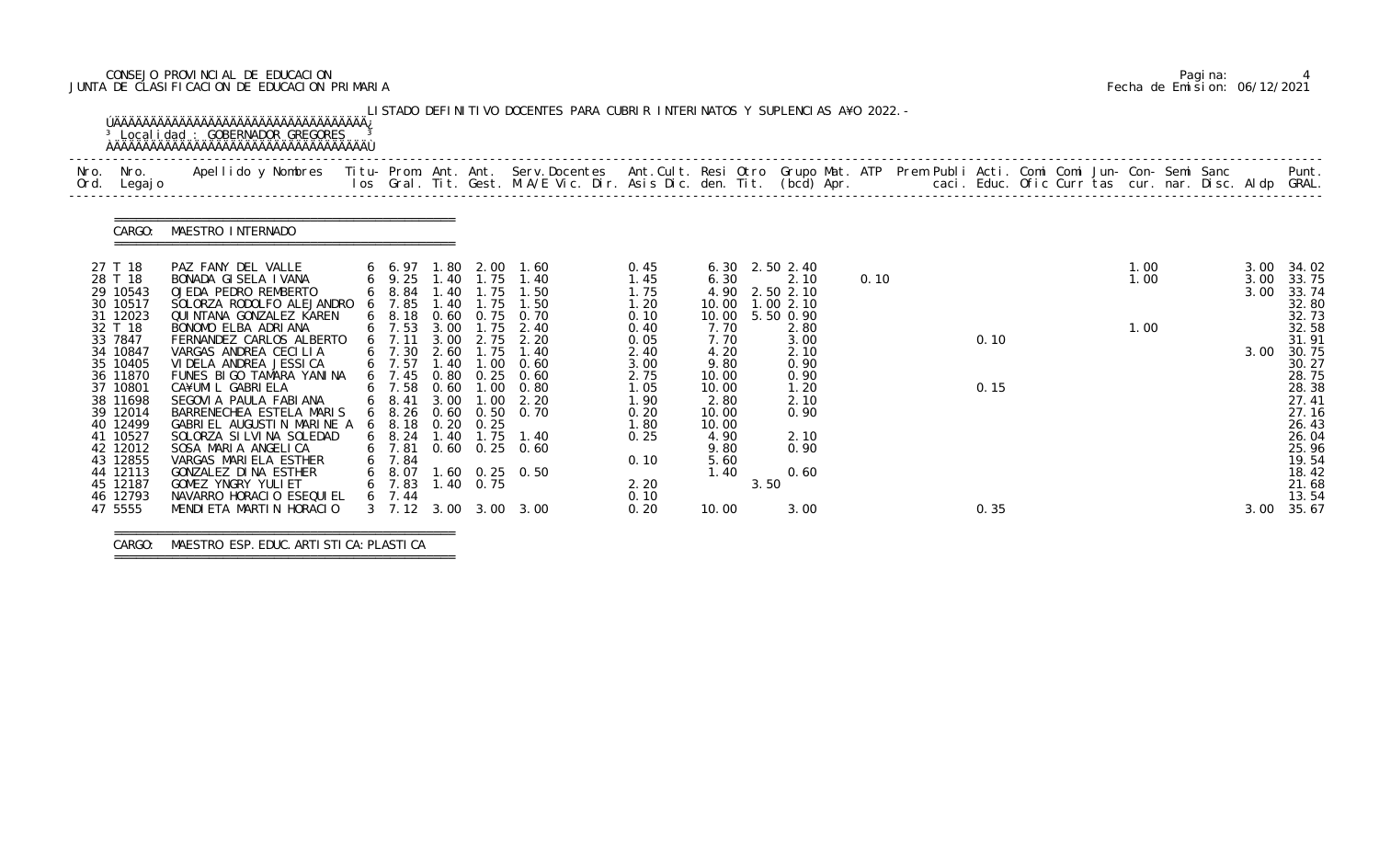# CONSEJO PROVINCIAL DE EDUCACION Pagina: 4 JUNTA DE CLASIFICACION DE EDUCACION PRIMARIA Fecha de Emision: 06/12/2021

| Nro.<br>Ord. | Nro.<br>Legaj o                                          | Apellido y Nombres - Titu- Prom. Ant. Ant. Serv.Docentes - Ant.Cult. Resi Otro Grupo Mat. ATP Prem Publi Acti. Comi Comi Jun- Con- Semi Sanc - - - - Punt.<br>Ios Gral. Tit. Gest. M.A/E Vic. Dir. Asis Dic. den. Tit. (bcd) Apr. |                                                               |                              |                              |                                                                   |                                      |                                          |      |                                             |      |  |      |  |              |                      |                                           |
|--------------|----------------------------------------------------------|-----------------------------------------------------------------------------------------------------------------------------------------------------------------------------------------------------------------------------------|---------------------------------------------------------------|------------------------------|------------------------------|-------------------------------------------------------------------|--------------------------------------|------------------------------------------|------|---------------------------------------------|------|--|------|--|--------------|----------------------|-------------------------------------------|
|              | CARGO:                                                   | MAESTRO INTERNADO                                                                                                                                                                                                                 |                                                               |                              |                              |                                                                   |                                      |                                          |      |                                             |      |  |      |  |              |                      |                                           |
|              | 27 T 18<br>28 T 18<br>29 10543<br>30 10517               | PAZ FANY DEL VALLE<br>BONADA GISELA IVANA<br>OJEDA PEDRO REMBERTO<br>SOLORZA RODOLFO ALEJANDRO                                                                                                                                    | $6$ $6$ 97<br>$6$ 9.25<br>$6$ 8.84<br>6 7.85                  | 1.80<br>1.40<br>1.40         | 1.40 1.75<br>1.75<br>1.75    | 2.00 1.60<br>1.40<br>1.50<br>1.50                                 | 0.45<br>1.45<br>1.75<br>1.20         | 6.30<br>6.30<br>4.90<br>10.00            |      | 2.50 2.40<br>2.10<br>2.50 2.10<br>1.00 2.10 | 0.10 |  |      |  | 1.00<br>1.00 | 3.00<br>3.00<br>3.00 | 34.02<br>33.75<br>33.74<br>32.80          |
|              | 31 12023<br>32 T 18<br>33 7847<br>34 10847<br>35 10405   | QUI NTANA GONZALEZ KAREN<br>BONOMO ELBA ADRIANA<br>FERNANDEZ CARLOS ALBERTO<br>VARGAS ANDREA CECILIA<br>VI DELA ANDREA JESSI CA                                                                                                   | $6\quad 8.18$<br>$6$ 7.53<br>$6$ 7.11<br>6 7.30<br>6 7.57     | 3.00<br>3.00<br>2.60<br>1.40 | 1.75<br>2.75<br>1.75<br>1.00 | 0.60 0.75 0.70<br>2.40<br>2.20<br>1.40<br>0.60                    | 0.10<br>0.40<br>0.05<br>2.40<br>3.00 | 10.00<br>7.70<br>7.70<br>4.20<br>9.80    |      | 5.50 0.90<br>2.80<br>3.00<br>2.10<br>0.90   |      |  | 0.10 |  | 1.00         | 3.00                 | 32.73<br>32.58<br>31.91<br>30.75<br>30.27 |
|              | 36 11870<br>37 10801<br>38 11698<br>39 12014<br>40 12499 | FUNES BIGO TAMARA YANINA<br>CA¥UMIL GABRIELA<br>SEGOVIA PAULA FABIANA<br>BARRENECHEA ESTELA MARIS<br>GABRIEL AUGUSTIN MARINE A                                                                                                    | 6, 7.45<br>6 7.58<br>6 8.41<br>$6\quad 8.26$<br>$6\quad 8.18$ | 0.80<br>0.60<br>3.00         | 0.25<br>$0.20$ $0.25$        | 0.60<br>$1.00 \quad 0.80$<br>$1.00$ $2.20$<br>0.60 0.50 0.70      | 2.75<br>1.05<br>1.90<br>0.20<br>1.80 | 10.00<br>10.00<br>2.80<br>10.00<br>10.00 |      | 0.90<br>1.20<br>2.10<br>0.90                |      |  | 0.15 |  |              |                      | 28.75<br>28.38<br>27.41<br>27.16<br>26.43 |
|              | 41 10527<br>42 12012<br>43 12855<br>44 12113<br>45 12187 | SOLORZA SI LVI NA SOLEDAD<br>SOSA MARIA ANGELICA<br>VARGAS MARIELA ESTHER<br>GONZALEZ DINA ESTHER<br>GOMEZ YNGRY YULI ET                                                                                                          | $6$ 7.81<br>6 7.84<br>6 8.07<br>6 7.83                        |                              | $1.40 \quad 0.75$            | 6 8.24 1.40 1.75 1.40<br>$0.60$ $0.25$ $0.60$<br>$1.60$ 0.25 0.50 | 0.25<br>0.10<br>2.20                 | 4.90<br>9.80<br>5.60<br>1.40             | 3.50 | 2.10<br>0.90<br>0.60                        |      |  |      |  |              |                      | 26.04<br>25.96<br>19.54<br>18.42<br>21.68 |
|              | 46 12793<br>47 5555                                      | NAVARRO HORACIO ESEQUIEL<br>MENDI ETA MARTIN HORACIO                                                                                                                                                                              | 6, 7.44                                                       |                              |                              | 3 7.12 3.00 3.00 3.00                                             | 0.10<br>0.20                         | 10.00                                    |      | 3.00                                        |      |  | 0.35 |  |              | 3.00                 | 13.54<br>35.67                            |

===============================================

CARGO: MAESTRO ESP.EDUC.ARTISTICA:PLASTICA

===============================================

|  | Pagi na: |                              |
|--|----------|------------------------------|
|  |          | Fecha de Emision: 06/12/2021 |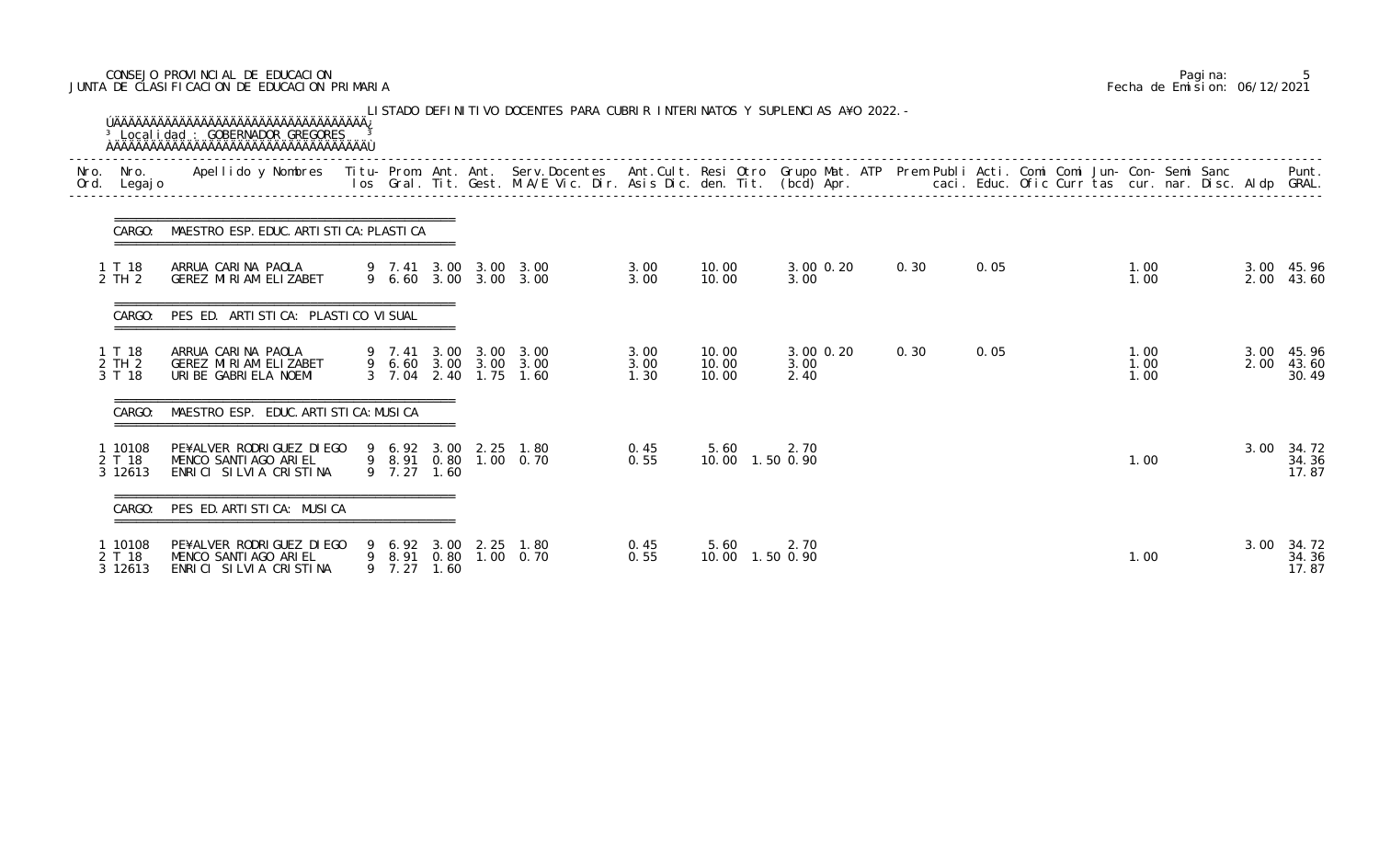# CONSEJO PROVINCIAL DE EDUCACION Pagina: 5 JUNTA DE CLASIFICACION DE EDUCACION PRIMARIA Fecha de Emision: 06/12/2021

| Ord. Legajo                  | Nro. Nro. Apellido y Nombres Titu-Prom. Ant. Ant. Serv.Docentes Ant.Cult. Resi Otro Grupo Mat. ATP Prem Publi Acti. Comi Comi Jun-Con-Semi Sanc |             |      |                                                                         |                      |                           |                                |      | los Gral. Tit. Gest. M.A/E Vic. Dir. Asis Dic. den. Tit. (bcd) Apr.       caci. Educ. Ofic Curr tas cur. nar. Disc. Aldp GRAL. |                      |      | Punt.                        |
|------------------------------|-------------------------------------------------------------------------------------------------------------------------------------------------|-------------|------|-------------------------------------------------------------------------|----------------------|---------------------------|--------------------------------|------|--------------------------------------------------------------------------------------------------------------------------------|----------------------|------|------------------------------|
|                              | CARGO: MAESTRO ESP. EDUC. ARTI STI CA: PLASTI CA                                                                                                |             |      |                                                                         |                      |                           |                                |      |                                                                                                                                |                      |      |                              |
| 1 T 18<br>2 TH 2             | ARRUA CARINA PAOLA<br>GEREZ MIRIAM ELIZABET                                                                                                     |             |      | 9 7.41 3.00 3.00 3.00<br>9 6.60 3.00 3.00 3.00                          | 3.00<br>3.00         | 10.00<br>10.00            | 3.00 0.20<br>3.00              | 0.30 | 0.05                                                                                                                           | 1.00<br>1.00         | 2.00 | 3.00 45.96<br>43.60          |
| CARGO:                       | PES ED. ARTI STI CA: PLASTI CO VI SUAL                                                                                                          |             |      |                                                                         |                      |                           |                                |      |                                                                                                                                |                      |      |                              |
| 1 T 18<br>2 TH 2<br>3 T 18   | ARRUA CARINA PAOLA<br>GEREZ MIRIAM ELIZABET<br>URIBE GABRIELA NOEMI                                                                             |             |      | 9 7.41 3.00 3.00 3.00<br>9 6.60 3.00 3.00 3.00<br>3 7.04 2.40 1.75 1.60 | 3.00<br>3.00<br>1.30 | 10.00<br>10.00<br>10.00   | $3.00 \, 0.20$<br>3.00<br>2.40 | 0.30 | 0.05                                                                                                                           | 1.00<br>1.00<br>1.00 | 2.00 | 3.00 45.96<br>43.60<br>30.49 |
| CARGO:                       | MAESTRO ESP. EDUC. ARTI STI CA: MUSI CA                                                                                                         |             |      |                                                                         |                      |                           |                                |      |                                                                                                                                |                      |      |                              |
| 1 10108<br>2 T 18<br>3 12613 | PE¥ALVER RODRIGUEZ DIEGO<br>MENCO SANTIAGO ARIEL<br>ENRICI SILVIA CRISTINA                                                                      | 9 7.27      | 1.60 | 9 6.92 3.00 2.25 1.80<br>9 8.91 0.80 1.00 0.70                          | 0.45<br>0.55         | 5.60<br>10.00  1.50  0.90 | 2.70                           |      |                                                                                                                                | 1.00                 | 3.00 | 34.72<br>34.36<br>17.87      |
| CARGO:                       | PES ED. ARTISTICA: MUSICA                                                                                                                       |             |      |                                                                         |                      |                           |                                |      |                                                                                                                                |                      |      |                              |
| 1 10108<br>2 T 18<br>3 12613 | PE¥ALVER RODRIGUEZ DIEGO<br>MENCO SANTIAGO ARIEL<br>ENRICI SILVIA CRISTINA                                                                      | 9 7.27 1.60 |      | 9 6.92 3.00 2.25 1.80<br>9 8.91 0.80 1.00 0.70                          | 0.45<br>0.55         | 5.60<br>10.00  1.50  0.90 | 2.70                           |      |                                                                                                                                | 1.00                 | 3.00 | 34.72<br>34.36<br>17.87      |

|  | Pagi na: |                              |
|--|----------|------------------------------|
|  |          | Fecha de Emision: 06/12/2021 |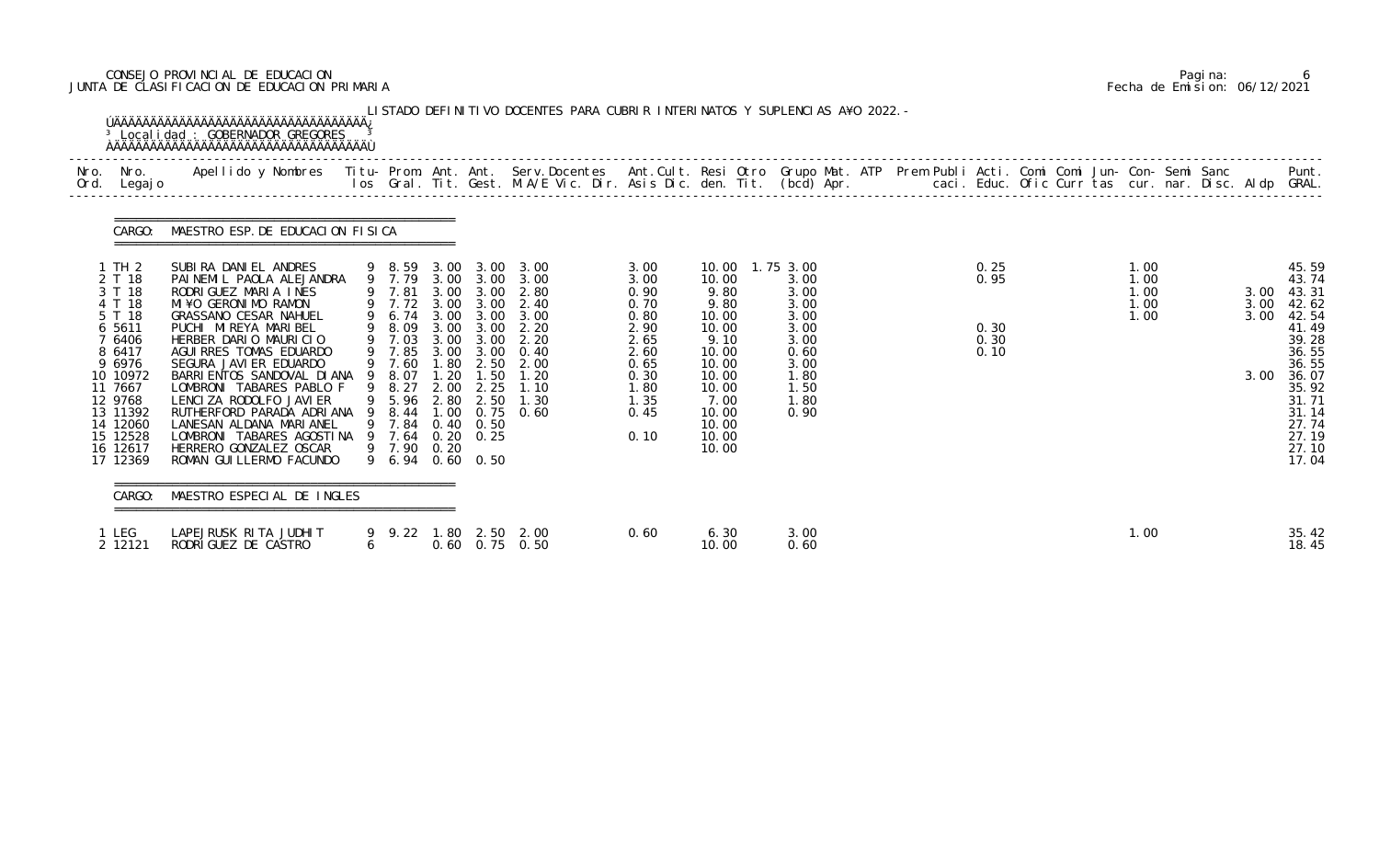# CONSEJO PROVINCIAL DE EDUCACION Pagina: 6 JUNTA DE CLASIFICACION DE EDUCACION PRIMARIA Fecha de Emision: 06/12/2021

| Nro. | Nro.<br>Ord. Legajo                                                                                                                                                                  | Apellido y Nombres Iitu-Prom. Ant. Ant. Serv.Docentes Ant.Cult. Resi Otro Grupo Mat. ATP Prem Publi Acti. Comi Comi Jun-Con-Semi Sanc Punt.<br>Ios Gral. Tit. Gest. M.A/E Vic. Dir. Asis Dic. den. Tit. (bcd) Apr.                                                                                                                                                                                                                                                                            |                                                                                                                                                                                       |                                                                              |                                                                                      |                                                                                                                  |                                                                                                              |                                                                                                                                                    |                                                                                              |  |                                      |                                      |                              |                                                                                                                                                       |
|------|--------------------------------------------------------------------------------------------------------------------------------------------------------------------------------------|-----------------------------------------------------------------------------------------------------------------------------------------------------------------------------------------------------------------------------------------------------------------------------------------------------------------------------------------------------------------------------------------------------------------------------------------------------------------------------------------------|---------------------------------------------------------------------------------------------------------------------------------------------------------------------------------------|------------------------------------------------------------------------------|--------------------------------------------------------------------------------------|------------------------------------------------------------------------------------------------------------------|--------------------------------------------------------------------------------------------------------------|----------------------------------------------------------------------------------------------------------------------------------------------------|----------------------------------------------------------------------------------------------|--|--------------------------------------|--------------------------------------|------------------------------|-------------------------------------------------------------------------------------------------------------------------------------------------------|
|      | CARGO:                                                                                                                                                                               | MAESTRO ESP. DE EDUCACION FISICA                                                                                                                                                                                                                                                                                                                                                                                                                                                              |                                                                                                                                                                                       |                                                                              |                                                                                      |                                                                                                                  |                                                                                                              |                                                                                                                                                    |                                                                                              |  |                                      |                                      |                              |                                                                                                                                                       |
|      | 1 TH 2<br>2 T 18<br>3 T 18<br>4 T 18<br>5 T 18<br>6 5611<br>7 6406<br>8 6417<br>9 6976<br>10 10972<br>11 7667<br>12 9768<br>13 11392<br>14 12060<br>15 12528<br>16 12617<br>17 12369 | SUBIRA DANIEL ANDRES<br>PAINEMIL PAOLA ALEJANDRA<br>RODRIGUEZ MARIA INES<br>MI¥O GERONIMO RAMON<br>GRASSANO CESAR NAHUEL<br>PUCHI MI REYA MARI BEL<br>HERBER DARIO MAURICIO<br>AGUI RRES TOMAS EDUARDO<br>SEGURA JAVI ER EDUARDO<br>BARRI ENTOS SANDOVAL DI ANA<br>LOMBRONI TABARES PABLO F<br>LENCIZA RODOLFO JAVIER<br>RUTHERFORD PARADA ADRIANA 9 8.44 1.00<br>LANESAN ALDANA MARIANEL<br>LOMBRONI TABARES AGOSTINA 9 7.64 0.20 0.25<br>HERRERO GONZALEZ OSCAR<br>ROMAN GUI LLERMO FACUNDO | 9 8.59<br>9 7.79<br>9 7.81<br>9 7.72 3.00<br>9 6.74<br>9 8.09<br>9 7.03<br>9 7.85<br>9 7.60<br>9 8.07<br>9 8.27<br>9 5.96 2.80<br>9 7.84 0.40 0.50<br>9 7.90 0.20<br>9 6.94 0.60 0.50 | 3.00<br>3.00<br>3.00<br>3.00<br>3.00<br>3.00<br>3.00<br>1.80<br>1.20<br>2.00 | 3.00<br>3.00<br>3.00<br>3.00<br>3.00<br>3.00<br>3.00<br>3.00<br>2.50<br>1.50<br>2.25 | 3.00<br>3.00<br>2.80<br>2.40<br>3.00<br>2.20<br>2.20<br>0.40<br>2.00<br>1.20<br>1.10<br>2.50 1.30<br>$0.75$ 0.60 | 3.00<br>3.00<br>0.90<br>0.70<br>0.80<br>2.90<br>2.65<br>2.60<br>0.65<br>0.30<br>1.80<br>1.35<br>0.45<br>0.10 | 10.00 1.75 3.00<br>10.00<br>9.80<br>9.80<br>10.00<br>10.00<br>9.10<br>10.00<br>10.00<br>10.00<br>10.00<br>7.00<br>10.00<br>10.00<br>10.00<br>10.00 | 3.00<br>3.00<br>3.00<br>3.00<br>3.00<br>3.00<br>0.60<br>3.00<br>1.80<br>1.50<br>1.80<br>0.90 |  | 0.25<br>0.95<br>0.30<br>0.30<br>0.10 | 1.00<br>1.00<br>1.00<br>1.00<br>1.00 | 3.00<br>3.00<br>3.00<br>3.00 | 45.59<br>43.74<br>43.31<br>42.62<br>42.54<br>41.49<br>39.28<br>36.55<br>36.55<br>36.07<br>35.92<br>31.71<br>31.14<br>27.74<br>27.19<br>27.10<br>17.04 |
|      | CARGO:                                                                                                                                                                               | MAESTRO ESPECIAL DE INGLES                                                                                                                                                                                                                                                                                                                                                                                                                                                                    |                                                                                                                                                                                       |                                                                              |                                                                                      |                                                                                                                  |                                                                                                              |                                                                                                                                                    |                                                                                              |  |                                      |                                      |                              |                                                                                                                                                       |
|      | 1 LEG<br>2 12121                                                                                                                                                                     | LAPEJRUSK RITA JUDHIT<br>RODRIGUEZ DE CASTRO                                                                                                                                                                                                                                                                                                                                                                                                                                                  | $6 \quad$                                                                                                                                                                             |                                                                              |                                                                                      | 9 9.22 1.80 2.50 2.00<br>$0.60$ $0.75$ $0.50$                                                                    | 0.60                                                                                                         | 6.30<br>10.00                                                                                                                                      | 3.00<br>0.60                                                                                 |  |                                      | 1.00                                 |                              | 35.42<br>18.45                                                                                                                                        |

|  | Pagi na: |                              |
|--|----------|------------------------------|
|  |          | Fecha de Emision: 06/12/2021 |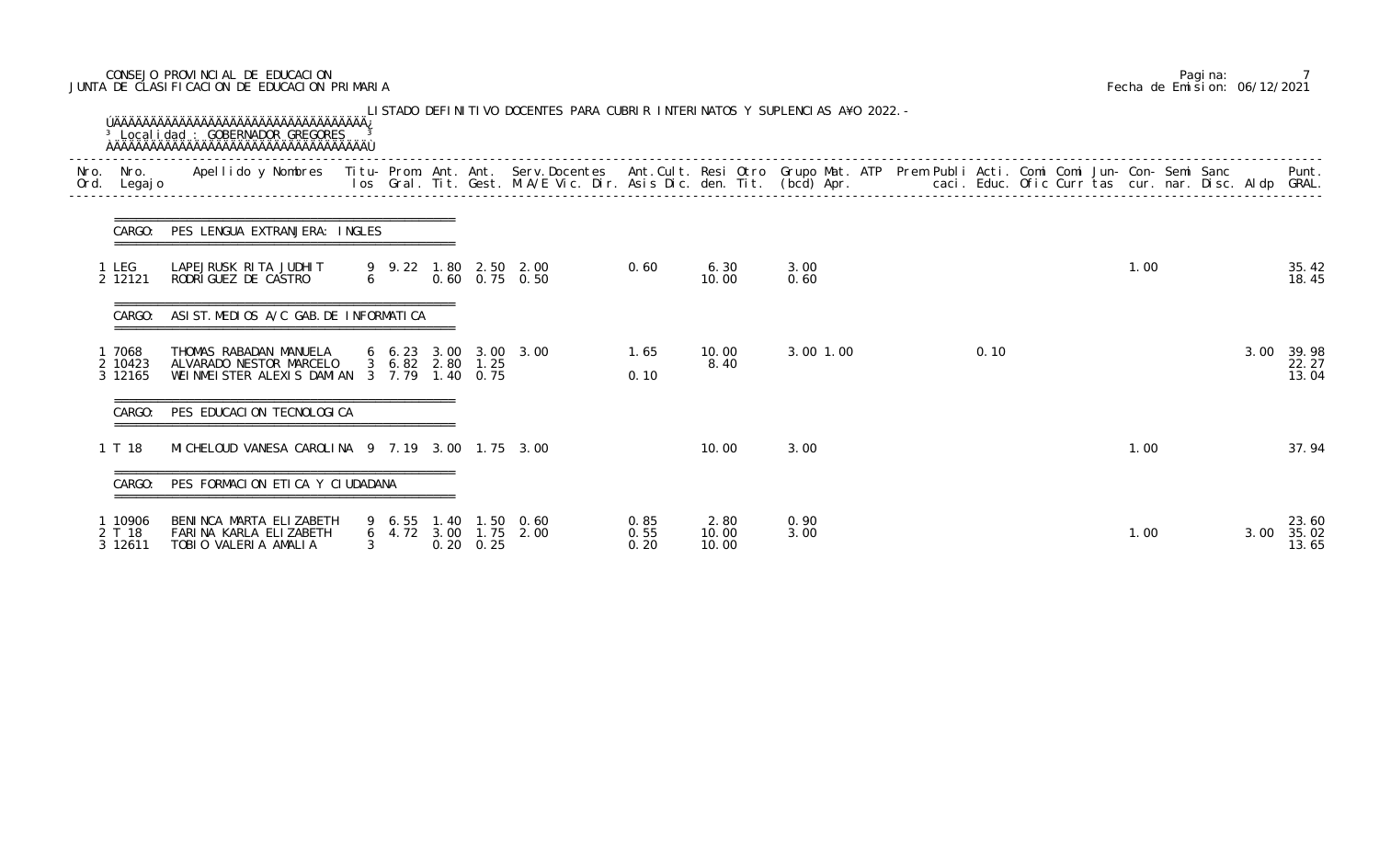# CONSEJO PROVINCIAL DE EDUCACION Pagina: 7 JUNTA DE CLASIFICACION DE EDUCACION PRIMARIA Fecha de Emision: 06/12/2021

| Nro.<br>Ord. | Nro.<br>Legaj o              | Apellido y Nombres - Titu- Prom. Ant. Ant. Serv.Docentes - Ant.Cult. Resi Otro Grupo Mat. ATP Prem Publi Acti. Comi Comi Jun- Con- Semi Sanc - - - - Punt.<br>Ios Gral. Tit. Gest. M.A/E Vic. Dir. Asis Dic. den. Tit. (bcd) Apr. |               |           |                                      |                                                |                      |                        |              |      |      |      |                         |
|--------------|------------------------------|-----------------------------------------------------------------------------------------------------------------------------------------------------------------------------------------------------------------------------------|---------------|-----------|--------------------------------------|------------------------------------------------|----------------------|------------------------|--------------|------|------|------|-------------------------|
|              | CARGO:                       | PES LENGUA EXTRANJERA: INGLES                                                                                                                                                                                                     |               |           |                                      |                                                |                      |                        |              |      |      |      |                         |
|              | 1 LEG<br>2 12121             | LAPEJRUSK RITA JUDHIT<br>RODRIGUEZ DE CASTRO                                                                                                                                                                                      |               | $6 \quad$ |                                      | 9 9.22 1.80 2.50 2.00<br>$0.60$ $0.75$ $0.50$  | 0.60                 | 6.30<br>10.00          | 3.00<br>0.60 |      | 1.00 |      | 35.42<br>18.45          |
|              | CARGO:                       | ASIST. MEDIOS A/C GAB. DE INFORMATICA                                                                                                                                                                                             |               |           |                                      |                                                |                      |                        |              |      |      |      |                         |
|              | 7068<br>2 10423<br>3 12165   | THOMAS RABADAN MANUELA<br>ALVARADO NESTOR MARCELO<br>WEINMEISTER ALEXIS DAMIAN                                                                                                                                                    |               |           | 3 6.82 2.80 1.25<br>3 7.79 1.40 0.75 | $6\quad 6.23\quad 3.00\quad 3.00\quad 3.00$    | 1.65<br>0.10         | 10.00<br>8.40          | 3.00 1.00    | 0.10 |      | 3.00 | 39.98<br>22.27<br>13.04 |
|              | CARGO:                       | PES EDUCACION TECNOLOGICA                                                                                                                                                                                                         |               |           |                                      |                                                |                      |                        |              |      |      |      |                         |
|              | 1 T 18                       | MI CHELOUD VANESA CAROLINA 9 7.19 3.00 1.75 3.00                                                                                                                                                                                  |               |           |                                      |                                                |                      | 10.00                  | 3.00         |      | 1.00 |      | 37.94                   |
|              |                              | CARGO: PES FORMACION ETICA Y CIUDADANA                                                                                                                                                                                            |               |           |                                      |                                                |                      |                        |              |      |      |      |                         |
|              | 1 10906<br>2 T 18<br>3 12611 | BENINCA MARTA ELIZABETH<br>FARINA KARLA ELIZABETH<br>TOBIO VALERIA AMALIA                                                                                                                                                         | $\mathcal{S}$ |           | $0.20 \quad 0.25$                    | 9 6.55 1.40 1.50 0.60<br>6 4.72 3.00 1.75 2.00 | 0.85<br>0.55<br>0.20 | 2.80<br>10.00<br>10.00 | 0.90<br>3.00 |      | 1.00 | 3.00 | 23.60<br>35.02<br>13.65 |

|  | Pagi na: |                              |
|--|----------|------------------------------|
|  |          | Fecha de Emision: 06/12/2021 |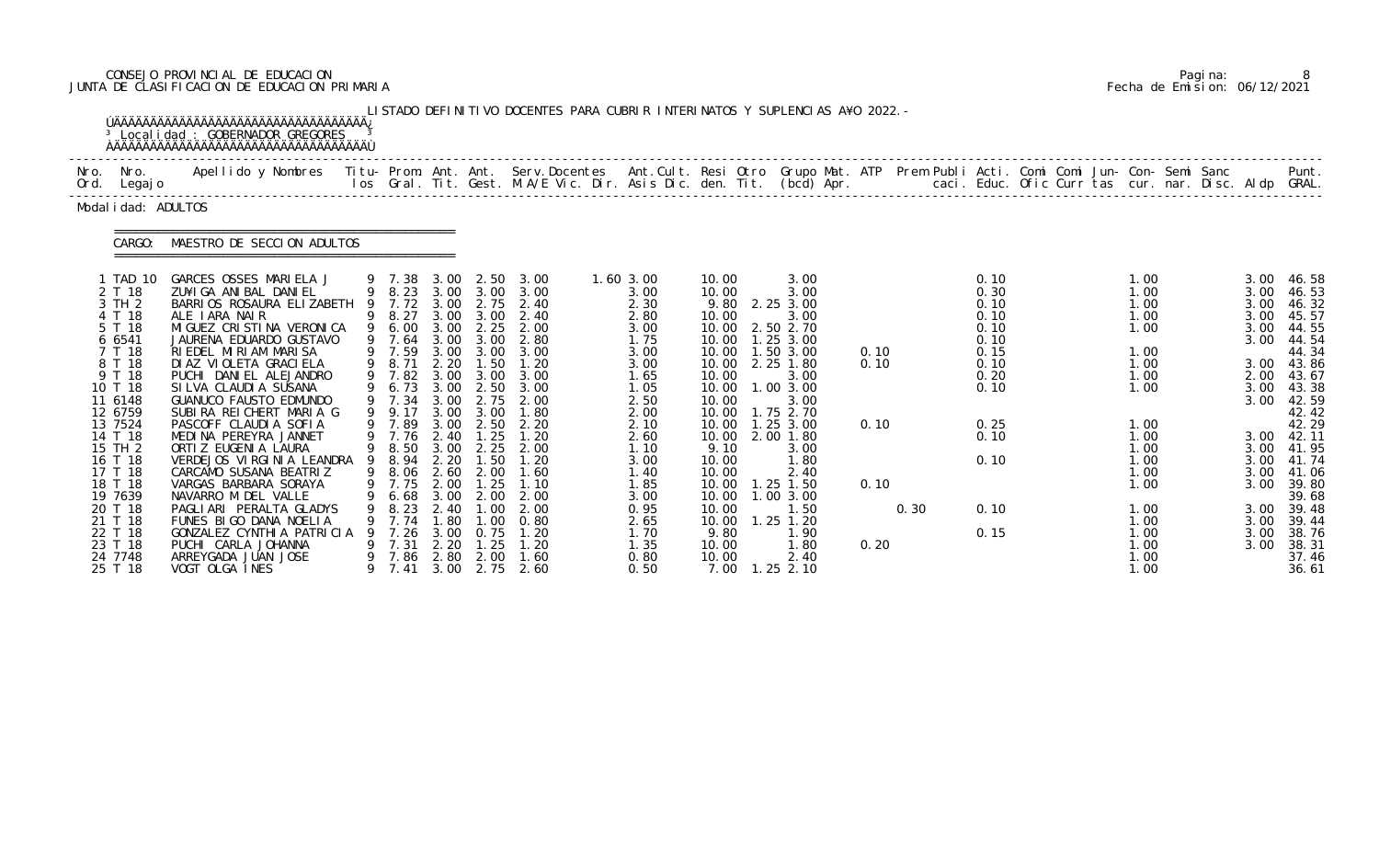# CONSEJO PROVINCIAL DE EDUCACION Pagina: 8 JUNTA DE CLASIFICACION DE EDUCACION PRIMARIA Fecha de Emision: 06/12/2021

|                                                                                                                                                                                                                                                                          | <sup>3</sup> Local i dad : GOBERNADOR GREGORES                                                                                                                                                                                                                                                                                                                                                                                                                                                                                                                                                                                                             |        |                                                                                                                                                                                                                                            |                                                                                                                                                           |                                                                                                                                                                              | LISTADO DEFINITIVO DOCENTES PARA CUBRIR INTERINATOS Y SUPLENCIAS A¥O 2022. -                                                                                                                                                          |                                                                                                                                                                                                               |                                                                                                                                                                                                                  |                                                                                                                                                                                                                                                                                             |                                      |      |                                                                                                                      |  |                                                                                                                                                                      |  |                                                                                                                      |                                                                                                                                                                                                                                                   |
|--------------------------------------------------------------------------------------------------------------------------------------------------------------------------------------------------------------------------------------------------------------------------|------------------------------------------------------------------------------------------------------------------------------------------------------------------------------------------------------------------------------------------------------------------------------------------------------------------------------------------------------------------------------------------------------------------------------------------------------------------------------------------------------------------------------------------------------------------------------------------------------------------------------------------------------------|--------|--------------------------------------------------------------------------------------------------------------------------------------------------------------------------------------------------------------------------------------------|-----------------------------------------------------------------------------------------------------------------------------------------------------------|------------------------------------------------------------------------------------------------------------------------------------------------------------------------------|---------------------------------------------------------------------------------------------------------------------------------------------------------------------------------------------------------------------------------------|---------------------------------------------------------------------------------------------------------------------------------------------------------------------------------------------------------------|------------------------------------------------------------------------------------------------------------------------------------------------------------------------------------------------------------------|---------------------------------------------------------------------------------------------------------------------------------------------------------------------------------------------------------------------------------------------------------------------------------------------|--------------------------------------|------|----------------------------------------------------------------------------------------------------------------------|--|----------------------------------------------------------------------------------------------------------------------------------------------------------------------|--|----------------------------------------------------------------------------------------------------------------------|---------------------------------------------------------------------------------------------------------------------------------------------------------------------------------------------------------------------------------------------------|
| Nro. Nro.<br>Ord. Legajo                                                                                                                                                                                                                                                 | Apellido y Nombres - Titu- Prom. Ant. Ant. Serv.Docentes - Ant.Cult. Resi Otro Grupo Mat. ATP Prem Publi Acti. Comi Comi Jun- Con- Semi Sanc - - - - Punt.<br>Ios Gral. Tit. Gest. M.A/E Vic. Dir. Asis Dic. den. Tit. (bcd) Apr.                                                                                                                                                                                                                                                                                                                                                                                                                          |        |                                                                                                                                                                                                                                            |                                                                                                                                                           |                                                                                                                                                                              |                                                                                                                                                                                                                                       |                                                                                                                                                                                                               |                                                                                                                                                                                                                  |                                                                                                                                                                                                                                                                                             |                                      |      |                                                                                                                      |  |                                                                                                                                                                      |  |                                                                                                                      |                                                                                                                                                                                                                                                   |
| Modal i dad: ADULTOS                                                                                                                                                                                                                                                     |                                                                                                                                                                                                                                                                                                                                                                                                                                                                                                                                                                                                                                                            |        |                                                                                                                                                                                                                                            |                                                                                                                                                           |                                                                                                                                                                              |                                                                                                                                                                                                                                       |                                                                                                                                                                                                               |                                                                                                                                                                                                                  |                                                                                                                                                                                                                                                                                             |                                      |      |                                                                                                                      |  |                                                                                                                                                                      |  |                                                                                                                      |                                                                                                                                                                                                                                                   |
| CARGO:                                                                                                                                                                                                                                                                   | MAESTRO DE SECCION ADULTOS                                                                                                                                                                                                                                                                                                                                                                                                                                                                                                                                                                                                                                 |        |                                                                                                                                                                                                                                            |                                                                                                                                                           |                                                                                                                                                                              |                                                                                                                                                                                                                                       |                                                                                                                                                                                                               |                                                                                                                                                                                                                  |                                                                                                                                                                                                                                                                                             |                                      |      |                                                                                                                      |  |                                                                                                                                                                      |  |                                                                                                                      |                                                                                                                                                                                                                                                   |
| 1 TAD 10<br>2 T 18<br>3 TH 2<br>4 T 18<br>5 T 18<br>6 6541<br>7 T 18<br>8 T 18<br>9 T 18<br>10 T 18<br>11 6148<br>12 6759<br>13 7524<br>14 T 18<br>15 TH 2<br>16 T 18<br>17 T 18<br>18 T 18<br>19 7639<br>20 T 18<br>21 T 18<br>22 T 18<br>23 T 18<br>24 7748<br>25 T 18 | GARCES OSSES MARIELA J<br>ZU¥I GA ANI BAL DANI EL<br>BARRIOS ROSAURA ELIZABETH<br>ALE IARA NAIR<br>MI GUEZ CRI STI NA VERONI CA<br>JAURENA EDUARDO GUSTAVO<br>RIEDEL MIRIAM MARISA<br>DI AZ VI OLETA GRACI ELA<br>PUCHI DANIEL ALEJANDRO<br>SILVA CLAUDIA SUSANA<br>GUANUCO FAUSTO EDMUNDO<br>SUBIRA REICHERT MARIA G<br>PASCOFF CLAUDIA SOFIA<br>MEDINA PEREYRA JANNET<br>ORTI Z EUGENI A LAURA<br>VERDEJOS VIRGINIA LEANDRA<br>CARCAMO SUSANA BEATRIZ<br>VARGAS BARBARA SORAYA<br>NAVARRO M DEL VALLE<br>PAGLIARI PERALTA GLADYS<br>FUNES BIGO DANA NOELIA<br>GONZALEZ CYNTHI A PATRICIA<br>PUCHI CARLA JOHANNA<br>ARREYGADA JUAN JOSE<br>VOGT OLGA INES | 9<br>9 | 9 7.38<br>9 8.23<br>7.72<br>9 8.27<br>9 6.00<br>9 7.64<br>9 7.59<br>8.71<br>9 7.82<br>9 6.73<br>9 7.34<br>9 9.17<br>9 7.89<br>9 7.76<br>9 8.50<br>9 8.94<br>9 8.06 2.60<br>9 7.75 2.00<br>6.68<br>8.23<br>9 7.74<br>7.26<br>7.31<br>9 7.86 | 3.00<br>3.00<br>3.00 3.00<br>3.00<br>3.00<br>2.20<br>3.00<br>3.00<br>3.00<br>3.00<br>3.00<br>2.40<br>2.20<br>3.00<br>2.40<br>. 80<br>3.00<br>2.20<br>2.80 | 3.00 2.50<br>3.00<br>2.25<br>3.00<br>3.00 3.00<br>1.50<br>3.00<br>2.50<br>2.75<br>3.00<br>2.50<br>1.25<br>1.50<br>2.00<br>1.25<br>2.00<br>.00<br>.00<br>0.75<br>1.25<br>2.00 | 3.00<br>3.00<br>2.75 2.40<br>2.40<br>2.00<br>2.80<br>3.00<br>1.20<br>3.00<br>3.00<br>2.00<br>1.80<br>2.20<br>1.20<br>3.00 2.25 2.00<br>1.20<br>1.60<br>1.10<br>2.00<br>2.00<br>0.80<br>1.20<br>1. 20<br>1.60<br>9 7.41 3.00 2.75 2.60 | $1.60$ $3.00$<br>3.00<br>2.30<br>2.80<br>3.00<br>1.75<br>3.00<br>3.00<br>1.65<br>1.05<br>2.50<br>2.00<br>2.10<br>2.60<br>1.10<br>3.00<br>1.40<br>1.85<br>3.00<br>0.95<br>2.65<br>1.70<br>1.35<br>0.80<br>0.50 | 10.00<br>10.00<br>9.80<br>10.00<br>10.00<br>10.00<br>10.00<br>10.00<br>10.00<br>10.00<br>10.00<br>10.00<br>10.00<br>9.10<br>10.00<br>10.00<br>10.00<br>10.00<br>10.00<br>10.00<br>9.80<br>10.00<br>10.00<br>7.00 | 3.00<br>3.00<br>2.25 3.00<br>3.00<br>2.50 2.70<br>1.25 3.00<br>10.00  1.50  3.00<br>2.25 1.80<br>3.00<br>1.00 3.00<br>3.00<br>1.75 2.70<br>$1.25$ $3.00$<br>2.00 1.80<br>3.00<br>1.80<br>2.40<br>$1.25$ 1.50<br>1.00 3.00<br>1.50<br>$1.25$ $1.20$<br>1.90<br>1.80<br>2.40<br>$1.25$ $2.10$ | 0.10<br>0.10<br>0.10<br>0.10<br>0.20 | 0.30 | 0.10<br>0.30<br>0.10<br>0.10<br>0.10<br>0.10<br>0.15<br>0.10<br>0.20<br>0.10<br>0.25<br>0.10<br>0.10<br>0.10<br>0.15 |  | 1.00<br>1.00<br>1.00<br>1.00<br>1.00<br>1.00<br>1.00<br>1.00<br>1.00<br>1.00<br>1.00<br>1.00<br>1.00<br>1.00<br>1.00<br>1.00<br>1.00<br>1.00<br>1.00<br>1.00<br>1.00 |  | 3.00<br>3.00<br>3.00<br>3.00<br>3.00<br>3.00<br>3.00<br>3.00<br>3.00<br>3.00<br>3.00<br>3.00<br>3.00<br>3.00<br>3.00 | 46.58<br>46.53<br>46.32<br>45.57<br>44.55<br>44.54<br>44.34<br>43.86<br>2.00 43.67<br>43.38<br>42.59<br>42.42<br>42.29<br>3.00 42.11<br>3.00 41.95<br>41.74<br>41.06<br>3.00 39.80<br>39.68<br>39.48<br>39.44<br>38.76<br>38.31<br>37.46<br>36.61 |

|  | Pagi na: |                              |
|--|----------|------------------------------|
|  |          | Fecha de Emision: 06/12/2021 |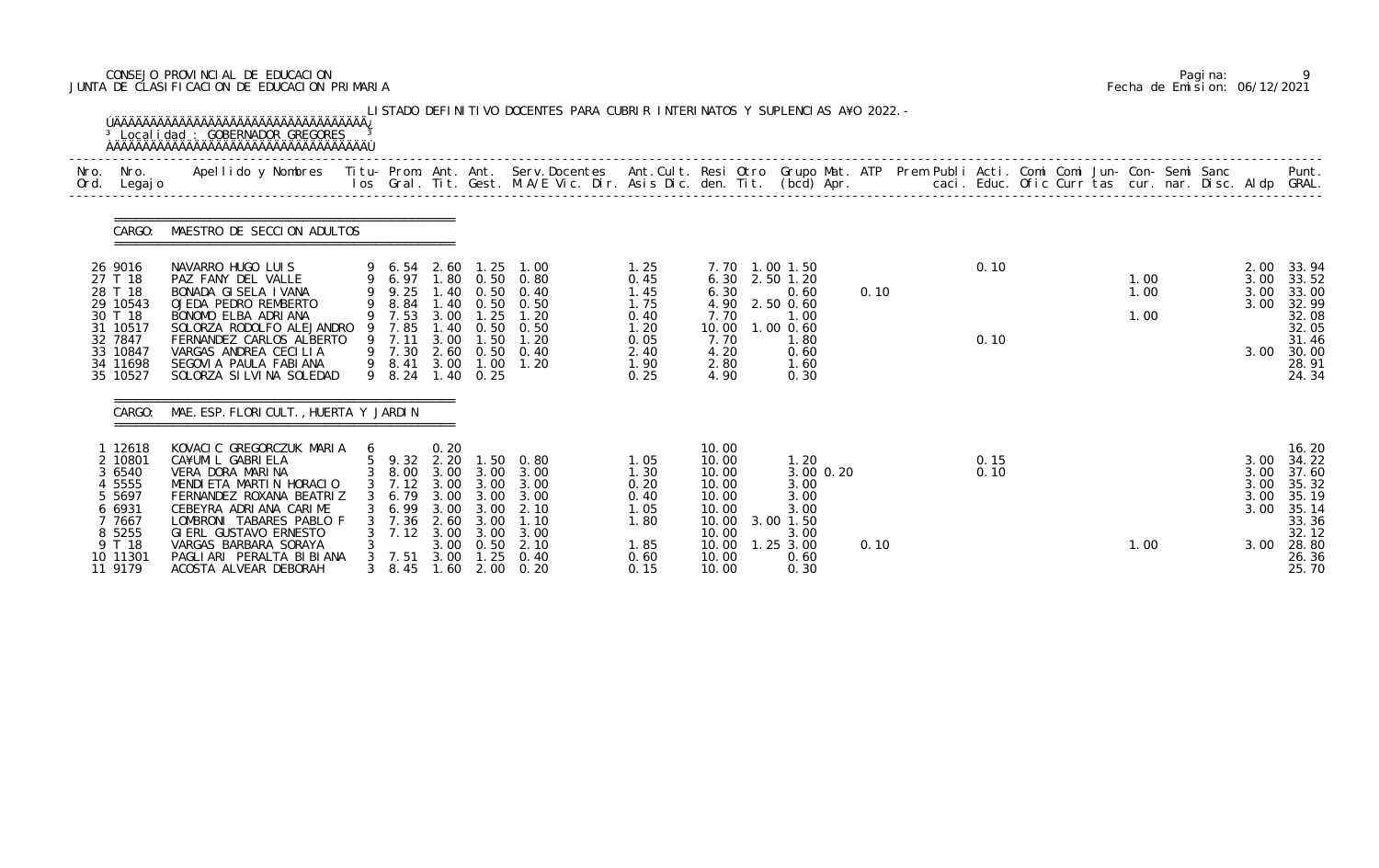# CONSEJO PROVINCIAL DE EDUCACION Pagina: 9 JUNTA DE CLASIFICACION DE EDUCACION PRIMARIA Fecha de Emision: 06/12/2021

|              |                                                                                                                 | <sup>3</sup> Local i dad : GOBERNADOR GREGORES                                                                                                                                                                                                                                          |             |                                                                                                          |                                                              |                                                                                                      | LISTADO DEFINITIVO DOCENTES PARA CUBRIR INTERINATOS Y SUPLENCIAS A¥O 2022. -                   |                                                                              |                                                                                                 |                                                                                                       |      |              |  |                      |  |                                      |                                                                                                      |
|--------------|-----------------------------------------------------------------------------------------------------------------|-----------------------------------------------------------------------------------------------------------------------------------------------------------------------------------------------------------------------------------------------------------------------------------------|-------------|----------------------------------------------------------------------------------------------------------|--------------------------------------------------------------|------------------------------------------------------------------------------------------------------|------------------------------------------------------------------------------------------------|------------------------------------------------------------------------------|-------------------------------------------------------------------------------------------------|-------------------------------------------------------------------------------------------------------|------|--------------|--|----------------------|--|--------------------------------------|------------------------------------------------------------------------------------------------------|
| Nro.<br>Ord. | Nro.<br>Legaj o                                                                                                 | Apellido y Nombres - Titu- Prom. Ant. Ant. Serv.Docentes - Ant.Cult. Resi Otro Grupo Mat. ATP Prem Publi Acti. Comi Comi Jun- Con- Semi Sanc - - - - Punt.<br>Ios Gral. Tit. Gest. M.A/E Vic. Dir. Asis Dic. den. Tit. (bcd) Apr.                                                       |             |                                                                                                          |                                                              |                                                                                                      |                                                                                                |                                                                              |                                                                                                 |                                                                                                       |      |              |  |                      |  |                                      |                                                                                                      |
|              | CARGO:                                                                                                          | MAESTRO DE SECCION ADULTOS                                                                                                                                                                                                                                                              |             |                                                                                                          |                                                              |                                                                                                      |                                                                                                |                                                                              |                                                                                                 |                                                                                                       |      |              |  |                      |  |                                      |                                                                                                      |
|              | 26 9016<br>27 T 18<br>28 T 18<br>29 10543<br>30 T 18<br>31 10517<br>32 7847<br>33 10847<br>34 11698<br>35 10527 | NAVARRO HUGO LUIS<br>PAZ FANY DEL VALLE<br>BONADA GISELA IVANA<br>OJEDA PEDRO REMBERTO<br>BONOMO ELBA ADRIANA<br>SOLORZA RODOLFO ALEJANDRO<br>FERNANDEZ CARLOS ALBERTO<br>VARGAS ANDREA CECILIA<br>SEGOVIA PAULA FABIANA<br>SOLORZA SI LVI NA SOLEDAD                                   | 9<br>9<br>9 | 9 6.54<br>9 6.97<br>9.25<br>8.84<br>9 7.53<br>7.85<br>9 7.11<br>9 7.30<br>9 8.41<br>9 8.24               | 2.60<br>1.40<br>1.40<br>3.00<br>.40<br>3.00<br>3.00          | 1. 25<br>1.80 0.50<br>0.50<br>0.50<br>1.25<br>0.50<br>1.50<br>2.60 0.50<br>1.00<br>$1.40 \quad 0.25$ | 1.00<br>0.80<br>0.40<br>0. 50<br>1.20<br>0.50<br>1.20<br>0.40<br>1.20                          | 1.25<br>0.45<br>1.45<br>1.75<br>0.40<br>1.20<br>0.05<br>2.40<br>1.90<br>0.25 | 6.30<br>6.30<br>4.90<br>7.70<br>10.00<br>7.70<br>4.20<br>2.80<br>4.90                           | 7.70 1.00 1.50<br>2.50 1.20<br>0.60<br>2.50 0.60<br>1.00<br>1.00 0.60<br>1.80<br>0.60<br>1.60<br>0.30 | 0.10 | 0.10<br>0.10 |  | 1.00<br>1.00<br>1.00 |  | 2.00<br>3.00<br>3.00<br>3.00<br>3.00 | 33.94<br>33.52<br>33.00<br>32.99<br>32.08<br>32.05<br>31.46<br>30.00<br>28.91<br>24.34               |
|              | CARGO:                                                                                                          | MAE. ESP. FLORI CULT., HUERTA Y JARDIN                                                                                                                                                                                                                                                  |             |                                                                                                          |                                                              |                                                                                                      |                                                                                                |                                                                              |                                                                                                 |                                                                                                       |      |              |  |                      |  |                                      |                                                                                                      |
|              | 1 12618<br>2 10801<br>3 6540<br>4 5555<br>5 5697<br>6 6931<br>7 7667<br>8 5255<br>9 T 18<br>10 11301<br>11 9179 | KOVACIC GREGORCZUK MARIA<br>CA¥UMI L GABRI ELA<br>VERA DORA MARINA<br>MENDI ETA MARTIN HORACIO<br>FERNANDEZ ROXANA BEATRIZ<br>CEBEYRA ADRIANA CARIME<br>LOMBRONI TABARES PABLO F<br>GIERL GUSTAVO ERNESTO<br>VARGAS BARBARA SORAYA<br>PAGLIARI PERALTA BIBIANA<br>ACOSTA ALVEAR DEBORAH | 6           | 5 9.32 2.20 1.50<br>3 8.00 3.00 3.00<br>6.79<br>6. 99<br>7.36<br>7.12<br>$3 \quad 7.51$<br>$3\quad 8.45$ | 0.20<br>3.00<br>3.00<br>2.60<br>3.00<br>3.00<br>3.00<br>1.60 | 3.00<br>3.00<br>3.00<br>3.00<br>0.50<br>1.25<br>2.00                                                 | 0.80<br>3.00<br>3 7.12 3.00 3.00 3.00<br>3.00<br>2.10<br>1.10<br>3.00<br>2.10<br>0.40<br>0. 20 | 1.05<br>1.30<br>0.20<br>0.40<br>1.05<br>1.80<br>1.85<br>0.60<br>0.15         | 10.00<br>10.00<br>10.00<br>10.00<br>10.00<br>10.00<br>10.00<br>10.00<br>10.00<br>10.00<br>10.00 | 1.20<br>3.00 0.20<br>3.00<br>3.00<br>3.00<br>3.00 1.50<br>3.00<br>$1.25$ $3.00$<br>0.60<br>0.30       | 0.10 | 0.15<br>0.10 |  | 1.00                 |  | 3.00<br>3.00<br>3.00<br>3.00<br>3.00 | 16.20<br>34.22<br>37.60<br>35.32<br>3.00 35.19<br>35.14<br>33.36<br>32.12<br>28.80<br>26.36<br>25.70 |

|  | Pagi na: |                              |
|--|----------|------------------------------|
|  |          | Fecha de Emision: 06/12/2021 |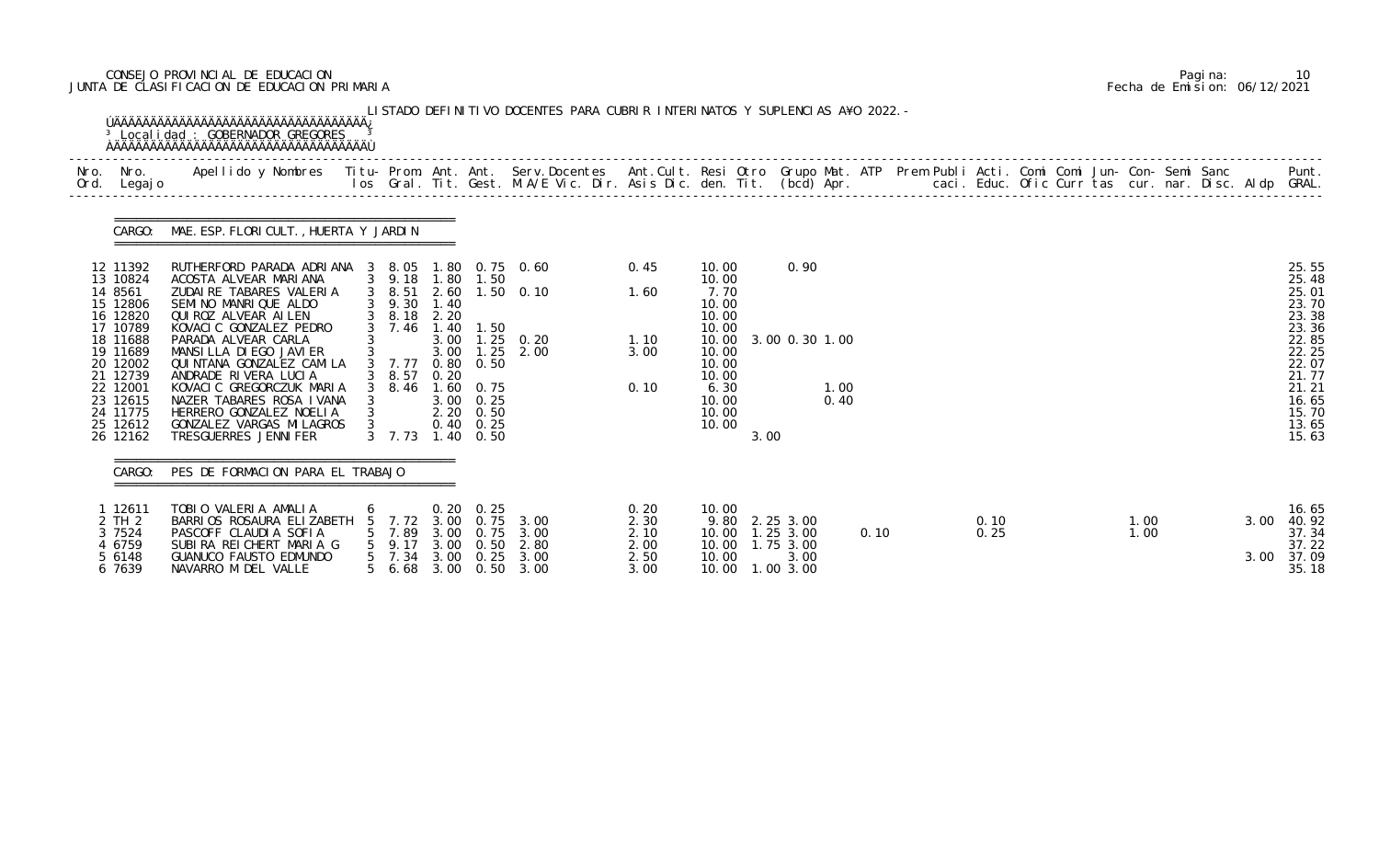# CONSEJO PROVINCIAL DE EDUCACION Pagina: 10 JUNTA DE CLASIFICACION DE EDUCACION PRIMARIA Fecha de Emision: 06/12/2021

| Nro. | Nro.<br>Ord. Legajo                                                                                                                                                             | Apellido y Nombres - Titu- Prom. Ant. Ant. Serv.Docentes - Ant.Cult. Resi Otro Grupo Mat. ATP Prem Publi Acti. Comi Comi Jun- Con- Semi Sanc - - - - Punt.<br>Ios Gral. Tit. Gest. M.A/E Vic. Dir. Asis Dic. den. Tit. (bcd) Apr.                                                                                                                                                                                               |                                 |                                                                                                                                                    |                                      |                                                                       |                                                    |                                              |                                                                                                                          |      |                                                                           |              |      |  |              |  |              |  |              |                                                                                                                                     |
|------|---------------------------------------------------------------------------------------------------------------------------------------------------------------------------------|---------------------------------------------------------------------------------------------------------------------------------------------------------------------------------------------------------------------------------------------------------------------------------------------------------------------------------------------------------------------------------------------------------------------------------|---------------------------------|----------------------------------------------------------------------------------------------------------------------------------------------------|--------------------------------------|-----------------------------------------------------------------------|----------------------------------------------------|----------------------------------------------|--------------------------------------------------------------------------------------------------------------------------|------|---------------------------------------------------------------------------|--------------|------|--|--------------|--|--------------|--|--------------|-------------------------------------------------------------------------------------------------------------------------------------|
|      |                                                                                                                                                                                 | CARGO: MAE. ESP. FLORI CULT., HUERTA Y JARDIN                                                                                                                                                                                                                                                                                                                                                                                   |                                 |                                                                                                                                                    |                                      |                                                                       |                                                    |                                              |                                                                                                                          |      |                                                                           |              |      |  |              |  |              |  |              |                                                                                                                                     |
|      | 12 11392<br>13 10824<br>14 8561<br>15 12806<br>16 12820<br>17 10789<br>18 11688<br>19 11689<br>20 12002<br>21 12739<br>22 12001<br>23 12615<br>24 11775<br>25 12612<br>26 12162 | RUTHERFORD PARADA ADRIANA 3 8.05 1.80 0.75 0.60<br>ACOSTA ALVEAR MARIANA<br>ZUDAIRE TABARES VALERIA<br>SEMINO MANRIQUE ALDO<br>QUI ROZ ALVEAR AI LEN<br>KOVACIC GONZALEZ PEDRO<br>PARADA ALVEAR CARLA<br>MANSILLA DI EGO JAVI ER<br>QUI NTANA GONZALEZ CAMI LA<br>ANDRADE RIVERA LUCIA<br>KOVACIC GREGORCZUK MARIA<br>NAZER TABARES ROSA IVANA<br>HERRERO GONZALEZ NOELIA<br>GONZALEZ VARGAS MI LAGROS<br>TRESGUERRES JENNI FER | $\mathbf{3}$                    | 3 9.18 1.80 1.50<br>3 8.51<br>3 9.30 1.40<br>3 8.18 2.20<br>3 7.46 1.40<br>3 7.77 0.80 0.50<br>$3\quad 8.57$<br>3 8.46 1.60 0.75<br>$3 \quad 7.73$ | 0.20                                 | 1.50<br>3.00 0.25<br>$2.20 \t 0.50$<br>$0.40 \quad 0.25$<br>1.40 0.50 | 2.60 1.50 0.10<br>3.00 1.25 0.20<br>3.00 1.25 2.00 | 0.45<br>1.60<br>1.10<br>3.00<br>0.10         | 10.00<br>10.00<br>7.70<br>10.00<br>10.00<br>10.00<br>10.00<br>10.00<br>10.00<br>10.00<br>6.30<br>10.00<br>10.00<br>10.00 | 3.00 | 0.90<br>3.00 0.30 1.00                                                    | 1.00<br>0.40 |      |  |              |  |              |  |              | 25.55<br>25.48<br>25.01<br>23.70<br>23.38<br>23.36<br>22.85<br>22.25<br>22.07<br>21.77<br>21.21<br>16.65<br>15.70<br>13.65<br>15.63 |
|      | CARGO:                                                                                                                                                                          | PES DE FORMACION PARA EL TRABAJO                                                                                                                                                                                                                                                                                                                                                                                                |                                 |                                                                                                                                                    |                                      |                                                                       |                                                    |                                              |                                                                                                                          |      |                                                                           |              |      |  |              |  |              |  |              |                                                                                                                                     |
|      | 1 12611<br>2 TH 2<br>3 7524<br>4 6759<br>5 6148<br>6 7639                                                                                                                       | TOBIO VALERIA AMALIA<br>BARRIOS ROSAURA ELIZABETH<br>PASCOFF CLAUDIA SOFIA<br>SUBIRA REICHERT MARIA G<br>GUANUCO FAUSTO EDMUNDO<br>NAVARRO M DEL VALLE                                                                                                                                                                                                                                                                          | $\sigma$<br>5<br>5 <sup>5</sup> | 7. 72<br>7.89<br>9.17<br>5 7.34<br>56.68                                                                                                           | 3.00<br>3.00<br>3.00<br>3.00<br>3.00 | $0.20 \quad 0.25$<br>0.75<br>0.50<br>0.25<br>0.50                     | $0.75$ 3.00<br>3.00<br>2.80<br>3.00<br>3.00        | 0.20<br>2.30<br>2.10<br>2.00<br>2.50<br>3.00 | 10.00<br>10.00<br>10.00<br>10.00                                                                                         |      | 9.80 2.25 3.00<br>$1.25$ $3.00$<br>1.75 3.00<br>3.00<br>10.00  1.00  3.00 |              | 0.10 |  | 0.10<br>0.25 |  | 1.00<br>1.00 |  | 3.00<br>3.00 | 16.65<br>40.92<br>37.34<br>37.22<br>37.09<br>35.18                                                                                  |

|  | Pagi na: |                              |
|--|----------|------------------------------|
|  |          | Fecha de Emision: 06/12/2021 |